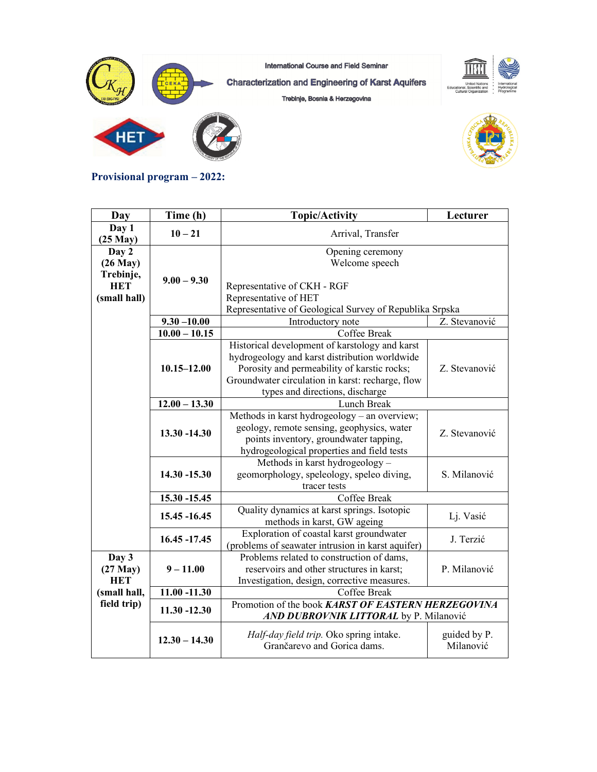

**Provisional program – 2022:** 

| Day                                                               | Time (h)        | <b>Topic/Activity</b>                                                                                                                                                                                                                 | Lecturer                  |
|-------------------------------------------------------------------|-----------------|---------------------------------------------------------------------------------------------------------------------------------------------------------------------------------------------------------------------------------------|---------------------------|
| Day 1<br>$(25$ May $)$                                            | $10 - 21$       | Arrival, Transfer                                                                                                                                                                                                                     |                           |
| Day 2<br>$(26$ May $)$<br>Trebinje,<br><b>HET</b><br>(small hall) | $9.00 - 9.30$   | Opening ceremony<br>Welcome speech<br>Representative of CKH - RGF<br>Representative of HET                                                                                                                                            |                           |
|                                                                   |                 | Representative of Geological Survey of Republika Srpska                                                                                                                                                                               |                           |
|                                                                   | $9.30 - 10.00$  | Introductory note                                                                                                                                                                                                                     | Z. Stevanović             |
|                                                                   | $10.00 - 10.15$ | Coffee Break                                                                                                                                                                                                                          |                           |
|                                                                   | $10.15 - 12.00$ | Historical development of karstology and karst<br>hydrogeology and karst distribution worldwide<br>Porosity and permeability of karstic rocks;<br>Groundwater circulation in karst: recharge, flow<br>types and directions, discharge | Z. Stevanović             |
|                                                                   | $12.00 - 13.30$ | Lunch Break                                                                                                                                                                                                                           |                           |
|                                                                   | 13.30 -14.30    | Methods in karst hydrogeology - an overview;<br>geology, remote sensing, geophysics, water<br>points inventory, groundwater tapping,<br>hydrogeological properties and field tests                                                    | Z. Stevanović             |
|                                                                   | $14.30 - 15.30$ | Methods in karst hydrogeology -<br>geomorphology, speleology, speleo diving,<br>tracer tests                                                                                                                                          | S. Milanović              |
|                                                                   | 15.30 -15.45    | Coffee Break                                                                                                                                                                                                                          |                           |
|                                                                   | 15.45 - 16.45   | Quality dynamics at karst springs. Isotopic<br>methods in karst, GW ageing                                                                                                                                                            | Lj. Vasić                 |
|                                                                   | 16.45 - 17.45   | Exploration of coastal karst groundwater<br>(problems of seawater intrusion in karst aquifer)                                                                                                                                         | J. Terzić                 |
| Day 3<br>$(27$ May $)$<br><b>HET</b>                              | $9 - 11.00$     | Problems related to construction of dams,<br>reservoirs and other structures in karst;<br>Investigation, design, corrective measures.                                                                                                 | P. Milanović              |
| (small hall,                                                      | $11.00 - 11.30$ | Coffee Break                                                                                                                                                                                                                          |                           |
| field trip)                                                       | $11.30 - 12.30$ | Promotion of the book KARST OF EASTERN HERZEGOVINA<br>AND DUBROVNIK LITTORAL by P. Milanović                                                                                                                                          |                           |
|                                                                   | $12.30 - 14.30$ | Half-day field trip. Oko spring intake.<br>Grančarevo and Gorica dams.                                                                                                                                                                | guided by P.<br>Milanović |